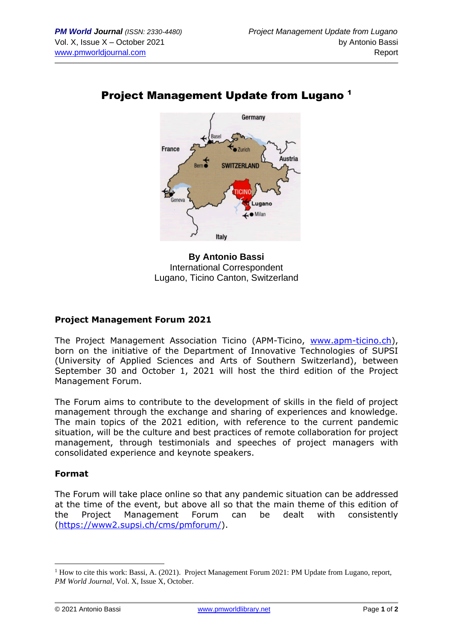

## Project Management Update from Lugano <sup>1</sup>



## **Project Management Forum 2021**

The Project Management Association Ticino (APM-Ticino, [www.apm-ticino.ch\)](http://www.apm-ticino.ch/), born on the initiative of the Department of Innovative Technologies of SUPSI (University of Applied Sciences and Arts of Southern Switzerland), between September 30 and October 1, 2021 will host the third edition of the Project Management Forum.

The Forum aims to contribute to the development of skills in the field of project management through the exchange and sharing of experiences and knowledge. The main topics of the 2021 edition, with reference to the current pandemic situation, will be the culture and best practices of remote collaboration for project management, through testimonials and speeches of project managers with consolidated experience and keynote speakers.

## **Format**

The Forum will take place online so that any pandemic situation can be addressed at the time of the event, but above all so that the main theme of this edition of the Project Management Forum can be dealt with consistently [\(https://www2.supsi.ch/cms/pmforum/\)](https://www2.supsi.ch/cms/pmforum/).

<sup>&</sup>lt;sup>1</sup> How to cite this work: Bassi, A. (2021). Project Management Forum 2021: PM Update from Lugano, report, *PM World Journal*, Vol. X, Issue X, October.